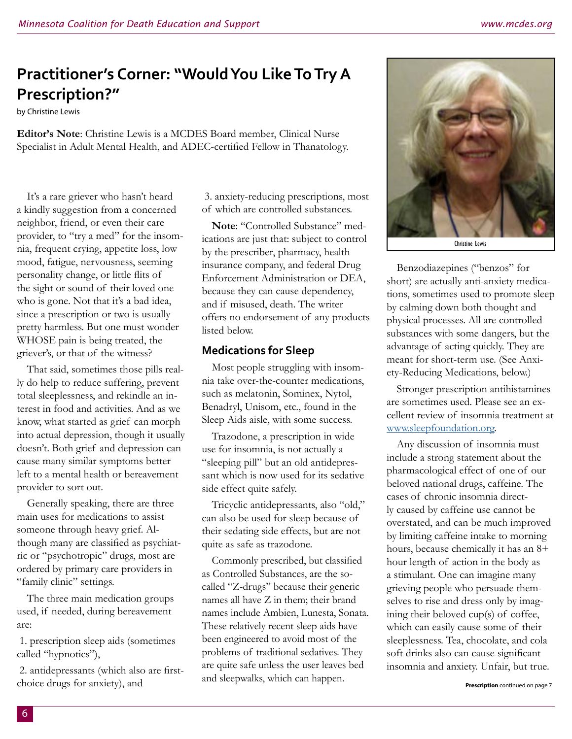# **Practitioner's Corner: "Would You Like To Try A Prescription?"**

by Christine Lewis

**Editor's Note**: Christine Lewis is a MCDES Board member, Clinical Nurse Specialist in Adult Mental Health, and ADEC-certified Fellow in Thanatology.

It's a rare griever who hasn't heard a kindly suggestion from a concerned neighbor, friend, or even their care provider, to "try a med" for the insomnia, frequent crying, appetite loss, low mood, fatigue, nervousness, seeming personality change, or little flits of the sight or sound of their loved one who is gone. Not that it's a bad idea, since a prescription or two is usually pretty harmless. But one must wonder WHOSE pain is being treated, the griever's, or that of the witness?

That said, sometimes those pills really do help to reduce suffering, prevent total sleeplessness, and rekindle an interest in food and activities. And as we know, what started as grief can morph into actual depression, though it usually doesn't. Both grief and depression can cause many similar symptoms better left to a mental health or bereavement provider to sort out.

Generally speaking, there are three main uses for medications to assist someone through heavy grief. Although many are classified as psychiatric or "psychotropic" drugs, most are ordered by primary care providers in "family clinic" settings.

The three main medication groups used, if needed, during bereavement are:

 1. prescription sleep aids (sometimes called "hypnotics"),

 2. antidepressants (which also are firstchoice drugs for anxiety), and

 3. anxiety-reducing prescriptions, most of which are controlled substances.

**Note**: "Controlled Substance" medications are just that: subject to control by the prescriber, pharmacy, health insurance company, and federal Drug Enforcement Administration or DEA, because they can cause dependency, and if misused, death. The writer offers no endorsement of any products listed below.

### **Medications for Sleep**

Most people struggling with insomnia take over-the-counter medications, such as melatonin, Sominex, Nytol, Benadryl, Unisom, etc., found in the Sleep Aids aisle, with some success.

Trazodone, a prescription in wide use for insomnia, is not actually a "sleeping pill" but an old antidepressant which is now used for its sedative side effect quite safely.

Tricyclic antidepressants, also "old," can also be used for sleep because of their sedating side effects, but are not quite as safe as trazodone.

Commonly prescribed, but classified as Controlled Substances, are the socalled "Z-drugs" because their generic names all have Z in them; their brand names include Ambien, Lunesta, Sonata. These relatively recent sleep aids have been engineered to avoid most of the problems of traditional sedatives. They are quite safe unless the user leaves bed and sleepwalks, which can happen.



Christine Lewis

Benzodiazepines ("benzos" for short) are actually anti-anxiety medications, sometimes used to promote sleep by calming down both thought and physical processes. All are controlled substances with some dangers, but the advantage of acting quickly. They are meant for short-term use. (See Anxiety-Reducing Medications, below.)

Stronger prescription antihistamines are sometimes used. Please see an excellent review of insomnia treatment at [www.sleepfoundation.org](http://www.sleepfoundation.org).

Any discussion of insomnia must include a strong statement about the pharmacological effect of one of our beloved national drugs, caffeine. The cases of chronic insomnia directly caused by caffeine use cannot be overstated, and can be much improved by limiting caffeine intake to morning hours, because chemically it has an 8+ hour length of action in the body as a stimulant. One can imagine many grieving people who persuade themselves to rise and dress only by imagining their beloved cup(s) of coffee, which can easily cause some of their sleeplessness. Tea, chocolate, and cola soft drinks also can cause significant insomnia and anxiety. Unfair, but true.

**Prescription** continued on page 7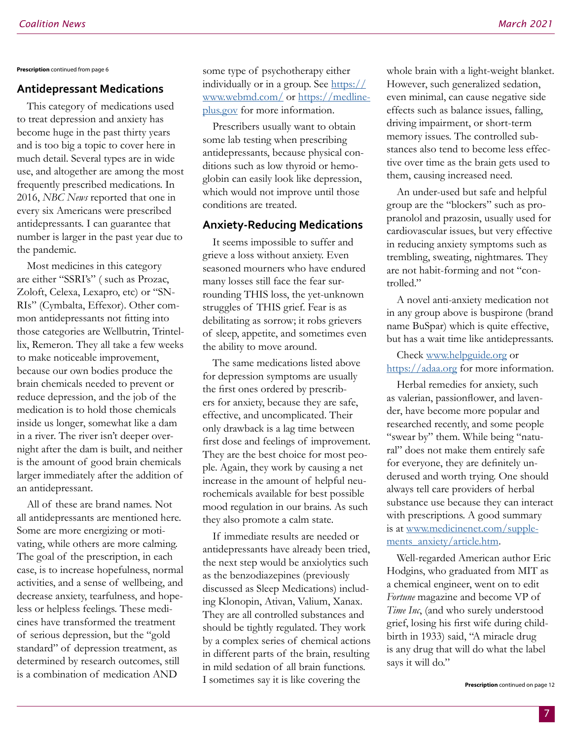**Prescription** continued from page 6

#### **Antidepressant Medications**

This category of medications used to treat depression and anxiety has become huge in the past thirty years and is too big a topic to cover here in much detail. Several types are in wide use, and altogether are among the most frequently prescribed medications. In 2016, *NBC News* reported that one in every six Americans were prescribed antidepressants. I can guarantee that number is larger in the past year due to the pandemic.

Most medicines in this category are either "SSRI's" ( such as Prozac, Zoloft, Celexa, Lexapro, etc) or "SN-RIs" (Cymbalta, Effexor). Other common antidepressants not fitting into those categories are Wellbutrin, Trintellix, Remeron. They all take a few weeks to make noticeable improvement, because our own bodies produce the brain chemicals needed to prevent or reduce depression, and the job of the medication is to hold those chemicals inside us longer, somewhat like a dam in a river. The river isn't deeper overnight after the dam is built, and neither is the amount of good brain chemicals larger immediately after the addition of an antidepressant.

All of these are brand names. Not all antidepressants are mentioned here. Some are more energizing or motivating, while others are more calming. The goal of the prescription, in each case, is to increase hopefulness, normal activities, and a sense of wellbeing, and decrease anxiety, tearfulness, and hopeless or helpless feelings. These medicines have transformed the treatment of serious depression, but the "gold standard" of depression treatment, as determined by research outcomes, still is a combination of medication AND

some type of psychotherapy either individually or in a group. See  $\frac{https://}{https://}$ www.webmd.com/ or [https://medline](https://medlineplus.gov)[plus.gov](https://medlineplus.gov) for more information.

Prescribers usually want to obtain some lab testing when prescribing antidepressants, because physical conditions such as low thyroid or hemoglobin can easily look like depression, which would not improve until those conditions are treated.

## **Anxiety-Reducing Medications**

It seems impossible to suffer and grieve a loss without anxiety. Even seasoned mourners who have endured many losses still face the fear surrounding THIS loss, the yet-unknown struggles of THIS grief. Fear is as debilitating as sorrow; it robs grievers of sleep, appetite, and sometimes even the ability to move around.

The same medications listed above for depression symptoms are usually the first ones ordered by prescribers for anxiety, because they are safe, effective, and uncomplicated. Their only drawback is a lag time between first dose and feelings of improvement. They are the best choice for most people. Again, they work by causing a net increase in the amount of helpful neurochemicals available for best possible mood regulation in our brains. As such they also promote a calm state.

If immediate results are needed or antidepressants have already been tried, the next step would be anxiolytics such as the benzodiazepines (previously discussed as Sleep Medications) including Klonopin, Ativan, Valium, Xanax. They are all controlled substances and should be tightly regulated. They work by a complex series of chemical actions in different parts of the brain, resulting in mild sedation of all brain functions. I sometimes say it is like covering the

whole brain with a light-weight blanket. However, such generalized sedation, even minimal, can cause negative side effects such as balance issues, falling, driving impairment, or short-term memory issues. The controlled substances also tend to become less effective over time as the brain gets used to them, causing increased need.

An under-used but safe and helpful group are the "blockers" such as propranolol and prazosin, usually used for cardiovascular issues, but very effective in reducing anxiety symptoms such as trembling, sweating, nightmares. They are not habit-forming and not "controlled."

A novel anti-anxiety medication not in any group above is buspirone (brand name BuSpar) which is quite effective, but has a wait time like antidepressants.

Check [www.helpguide.org](http://www.helpguide.org) or <https://adaa.org> for more information.

Herbal remedies for anxiety, such as valerian, passionflower, and lavender, have become more popular and researched recently, and some people "swear by" them. While being "natural" does not make them entirely safe for everyone, they are definitely underused and worth trying. One should always tell care providers of herbal substance use because they can interact with prescriptions. A good summary is at [www.medicinenet.com/supple](http://www.medicinenet.com/supplements_anxiety/article.htm)[ments\\_anxiety/article.htm.](http://www.medicinenet.com/supplements_anxiety/article.htm)

Well-regarded American author Eric Hodgins, who graduated from MIT as a chemical engineer, went on to edit *Fortune* magazine and become VP of *Time Inc*, (and who surely understood grief, losing his first wife during childbirth in 1933) said, "A miracle drug is any drug that will do what the label says it will do."

**Prescription** continued on page 12